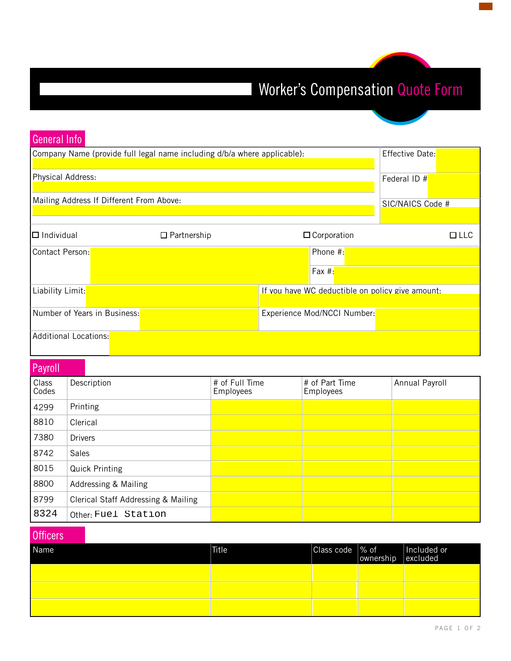## Worker's Compensation Quote Form

| General Info                                                             |                                                  |                  |
|--------------------------------------------------------------------------|--------------------------------------------------|------------------|
| Company Name (provide full legal name including d/b/a where applicable): |                                                  | Effective Date:  |
| Physical Address:                                                        |                                                  | Federal ID #     |
| Mailing Address If Different From Above:                                 |                                                  | SIC/NAICS Code # |
|                                                                          |                                                  |                  |
| $\Box$ Individual<br>$\Box$ Partnership                                  | $\Box$ Corporation                               | ⊡ LLC            |
| Contact Person:                                                          | Phone $#$ :                                      |                  |
|                                                                          | Fax $#$ :                                        |                  |
| Liability Limit:                                                         | If you have WC deductible on policy give amount: |                  |
| Number of Years in Business:                                             | Experience Mod/NCCI Number:                      |                  |
| Additional Locations:                                                    |                                                  |                  |

## **Payroll**

| Class<br>Codes | Description                         | # of Full Time<br><b>Employees</b> | # of Part Time<br><b>Employees</b> | Annual Payroll |
|----------------|-------------------------------------|------------------------------------|------------------------------------|----------------|
| 4299           | Printing                            |                                    |                                    |                |
| 8810           | Clerical                            |                                    |                                    |                |
| 7380           | <b>Drivers</b>                      |                                    |                                    |                |
| 8742           | <b>Sales</b>                        |                                    |                                    |                |
| 8015           | <b>Quick Printing</b>               |                                    |                                    |                |
| 8800           | Addressing & Mailing                |                                    |                                    |                |
| 8799           | Clerical Staff Addressing & Mailing |                                    |                                    |                |
| 8324           | Other: Fuel Station                 |                                    |                                    |                |

## **Officers**

| Name | <b>Title</b> | Class code   % of | ownership excluded | Included or |
|------|--------------|-------------------|--------------------|-------------|
|      |              |                   |                    |             |
|      |              |                   |                    |             |
|      |              |                   |                    |             |